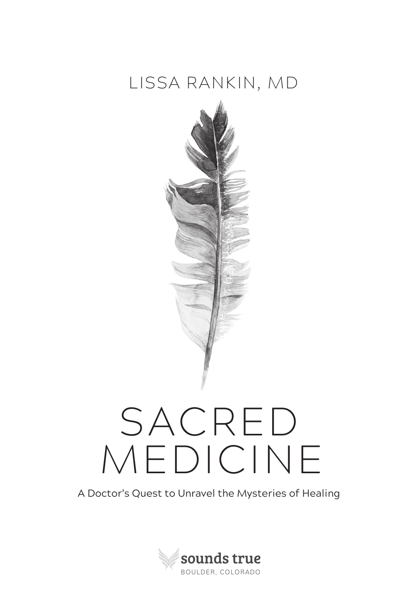# LISSA RANKIN, MD



# SACRED MEDICINE

A Doctor's Quest to Unravel the Mysteries of Healing

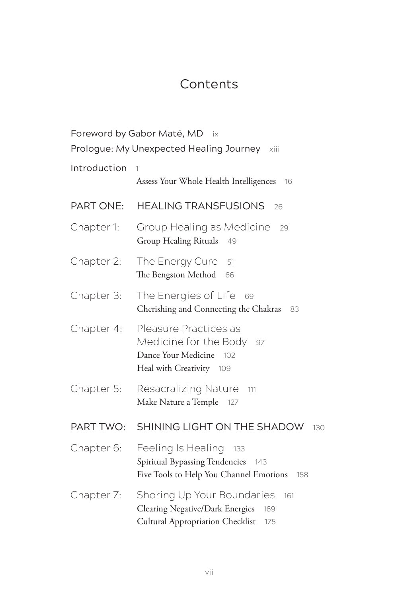### **Contents**

|              | Foreword by Gabor Maté, MD ix<br>Prologue: My Unexpected Healing Journey<br>xiii                                              |
|--------------|-------------------------------------------------------------------------------------------------------------------------------|
| Introduction | Assess Your Whole Health Intelligences<br>16                                                                                  |
| PART ONE:    | <b>HEALING TRANSFUSIONS</b><br>26                                                                                             |
| Chapter 1:   | Group Healing as Medicine<br>29<br>Group Healing Rituals<br>49                                                                |
| Chapter 2:   | The Energy Cure<br>51<br>The Bengston Method<br>66                                                                            |
| Chapter 3:   | The Energies of Life<br>69<br>Cherishing and Connecting the Chakras<br>83                                                     |
| Chapter 4:   | Pleasure Practices as<br>Medicine for the Body 97<br>Dance Your Medicine<br>102<br>Heal with Creativity 109                   |
| Chapter 5:   | Resacralizing Nature<br>111<br>Make Nature a Temple<br>127                                                                    |
| PART TWO:    | SHINING LIGHT ON THE SHADOW<br>130                                                                                            |
| Chapter 6:   | Feeling Is Healing<br>133<br>Spiritual Bypassing Tendencies<br>143<br>Five Tools to Help You Channel Emotions<br>158          |
| Chapter 7:   | Shoring Up Your Boundaries<br>161<br>Clearing Negative/Dark Energies<br>169<br><b>Cultural Appropriation Checklist</b><br>175 |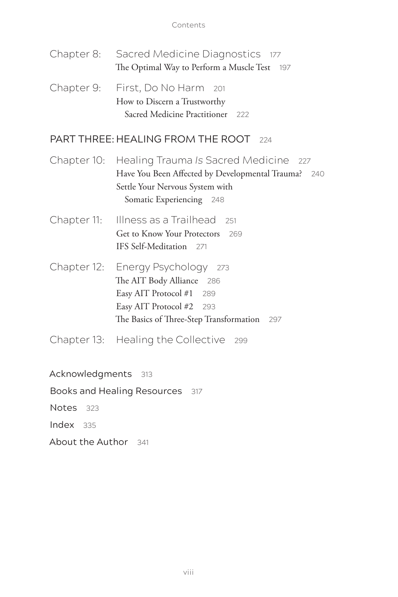Contents

| Chapter 8: Sacred Medicine Diagnostics 177   |  |
|----------------------------------------------|--|
| The Optimal Way to Perform a Muscle Test 197 |  |

Chapter 9: First, Do No Harm 201 How to Discern a Trustworthy Sacred Medicine Practitioner 222

### PART THREE: HEALING FROM THE ROOT 224

- Chapter 10: Healing Trauma *Is* Sacred Medicine 227 Have You Been Affected by Developmental Trauma? 240 Settle Your Nervous System with Somatic Experiencing 248
- Chapter 11: Illness as a Trailhead 251 Get to Know Your Protectors 269 IFS Self-Meditation 271
- Chapter 12: Energy Psychology 273 The AIT Body Alliance 286 Easy AIT Protocol #1 289 Easy AIT Protocol #2 293 The Basics of Three-Step Transformation 297
- Chapter 13: Healing the Collective 299

Acknowledgments 313

Books and Healing Resources 317

Notes 323

Index 335

About the Author 341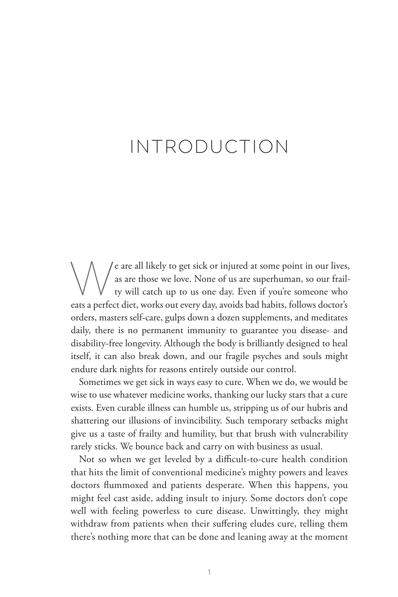# INTRODUCTION

e are all likely to get sick or injured at some point in our lives,<br>as are those we love. None of us are superhuman, so our frail-<br>ty will catch up to us one day. Even if you're someone who as are those we love. None of us are superhuman, so our frailty will catch up to us one day. Even if you're someone who eats a perfect diet, works out every day, avoids bad habits, follows doctor's orders, masters self-care, gulps down a dozen supplements, and meditates daily, there is no permanent immunity to guarantee you disease- and disability-free longevity. Although the body is brilliantly designed to heal itself, it can also break down, and our fragile psyches and souls might endure dark nights for reasons entirely outside our control.

Sometimes we get sick in ways easy to cure. When we do, we would be wise to use whatever medicine works, thanking our lucky stars that a cure exists. Even curable illness can humble us, stripping us of our hubris and shattering our illusions of invincibility. Such temporary setbacks might give us a taste of frailty and humility, but that brush with vulnerability rarely sticks. We bounce back and carry on with business as usual.

Not so when we get leveled by a difficult-to-cure health condition that hits the limit of conventional medicine's mighty powers and leaves doctors flummoxed and patients desperate. When this happens, you might feel cast aside, adding insult to injury. Some doctors don't cope well with feeling powerless to cure disease. Unwittingly, they might withdraw from patients when their suffering eludes cure, telling them there's nothing more that can be done and leaning away at the moment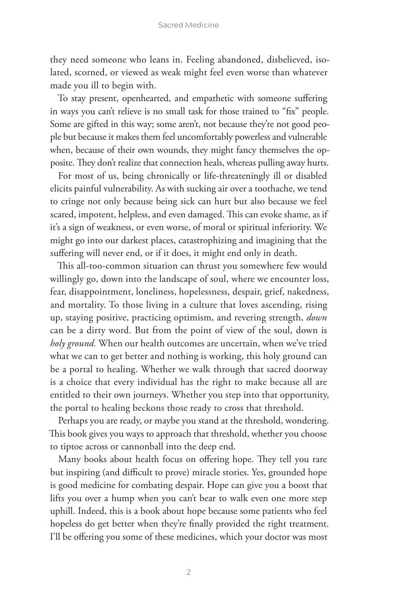they need someone who leans in. Feeling abandoned, disbelieved, isolated, scorned, or viewed as weak might feel even worse than whatever made you ill to begin with.

To stay present, openhearted, and empathetic with someone suffering in ways you can't relieve is no small task for those trained to "fix" people. Some are gifted in this way; some aren't, not because they're not good people but because it makes them feel uncomfortably powerless and vulnerable when, because of their own wounds, they might fancy themselves the opposite. They don't realize that connection heals, whereas pulling away hurts.

For most of us, being chronically or life-threateningly ill or disabled elicits painful vulnerability. As with sucking air over a toothache, we tend to cringe not only because being sick can hurt but also because we feel scared, impotent, helpless, and even damaged. This can evoke shame, as if it's a sign of weakness, or even worse, of moral or spiritual inferiority. We might go into our darkest places, catastrophizing and imagining that the suffering will never end, or if it does, it might end only in death.

This all-too-common situation can thrust you somewhere few would willingly go, down into the landscape of soul, where we encounter loss, fear, disappointment, loneliness, hopelessness, despair, grief, nakedness, and mortality. To those living in a culture that loves ascending, rising up, staying positive, practicing optimism, and revering strength, *down*  can be a dirty word. But from the point of view of the soul, down is *holy ground.* When our health outcomes are uncertain, when we've tried what we can to get better and nothing is working, this holy ground can be a portal to healing. Whether we walk through that sacred doorway is a choice that every individual has the right to make because all are entitled to their own journeys. Whether you step into that opportunity, the portal to healing beckons those ready to cross that threshold.

Perhaps you are ready, or maybe you stand at the threshold, wondering. This book gives you ways to approach that threshold, whether you choose to tiptoe across or cannonball into the deep end.

Many books about health focus on offering hope. They tell you rare but inspiring (and difficult to prove) miracle stories. Yes, grounded hope is good medicine for combating despair. Hope can give you a boost that lifts you over a hump when you can't bear to walk even one more step uphill. Indeed, this is a book about hope because some patients who feel hopeless do get better when they're finally provided the right treatment. I'll be offering you some of these medicines, which your doctor was most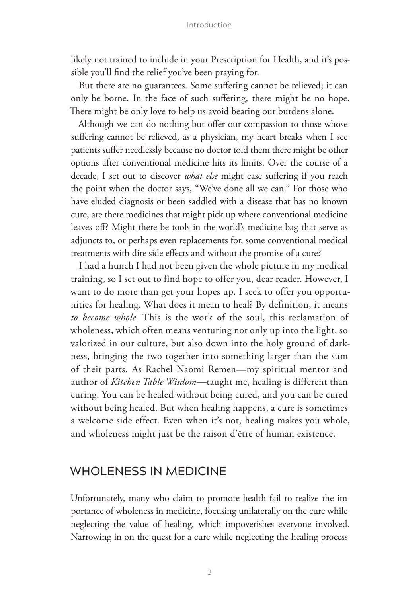likely not trained to include in your Prescription for Health, and it's possible you'll find the relief you've been praying for.

But there are no guarantees. Some suffering cannot be relieved; it can only be borne. In the face of such suffering, there might be no hope. There might be only love to help us avoid bearing our burdens alone.

Although we can do nothing but offer our compassion to those whose suffering cannot be relieved, as a physician, my heart breaks when I see patients suffer needlessly because no doctor told them there might be other options after conventional medicine hits its limits. Over the course of a decade, I set out to discover *what else* might ease suffering if you reach the point when the doctor says, "We've done all we can." For those who have eluded diagnosis or been saddled with a disease that has no known cure, are there medicines that might pick up where conventional medicine leaves off? Might there be tools in the world's medicine bag that serve as adjuncts to, or perhaps even replacements for, some conventional medical treatments with dire side effects and without the promise of a cure?

I had a hunch I had not been given the whole picture in my medical training, so I set out to find hope to offer you, dear reader. However, I want to do more than get your hopes up. I seek to offer you opportunities for healing. What does it mean to heal? By definition, it means *to become whole.* This is the work of the soul, this reclamation of wholeness, which often means venturing not only up into the light, so valorized in our culture, but also down into the holy ground of darkness, bringing the two together into something larger than the sum of their parts. As Rachel Naomi Remen—my spiritual mentor and author of *Kitchen Table Wisdom—*taught me, healing is different than curing. You can be healed without being cured, and you can be cured without being healed. But when healing happens, a cure is sometimes a welcome side effect. Even when it's not, healing makes you whole, and wholeness might just be the raison d'être of human existence.

#### WHOLENESS IN MEDICINE

Unfortunately, many who claim to promote health fail to realize the importance of wholeness in medicine, focusing unilaterally on the cure while neglecting the value of healing, which impoverishes everyone involved. Narrowing in on the quest for a cure while neglecting the healing process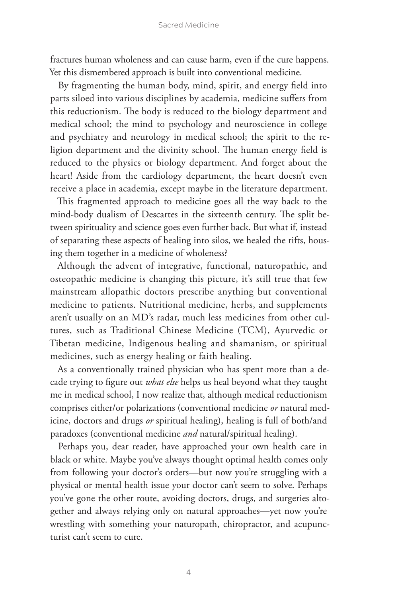fractures human wholeness and can cause harm, even if the cure happens. Yet this dismembered approach is built into conventional medicine.

By fragmenting the human body, mind, spirit, and energy field into parts siloed into various disciplines by academia, medicine suffers from this reductionism. The body is reduced to the biology department and medical school; the mind to psychology and neuroscience in college and psychiatry and neurology in medical school; the spirit to the religion department and the divinity school. The human energy field is reduced to the physics or biology department. And forget about the heart! Aside from the cardiology department, the heart doesn't even receive a place in academia, except maybe in the literature department.

This fragmented approach to medicine goes all the way back to the mind-body dualism of Descartes in the sixteenth century. The split between spirituality and science goes even further back. But what if, instead of separating these aspects of healing into silos, we healed the rifts, housing them together in a medicine of wholeness?

Although the advent of integrative, functional, naturopathic, and osteopathic medicine is changing this picture, it's still true that few mainstream allopathic doctors prescribe anything but conventional medicine to patients. Nutritional medicine, herbs, and supplements aren't usually on an MD's radar, much less medicines from other cultures, such as Traditional Chinese Medicine (TCM), Ayurvedic or Tibetan medicine, Indigenous healing and shamanism, or spiritual medicines, such as energy healing or faith healing.

As a conventionally trained physician who has spent more than a decade trying to figure out *what else* helps us heal beyond what they taught me in medical school, I now realize that, although medical reductionism comprises either/or polarizations (conventional medicine *or* natural medicine, doctors and drugs *or* spiritual healing), healing is full of both/and paradoxes (conventional medicine *and* natural/spiritual healing).

Perhaps you, dear reader, have approached your own health care in black or white. Maybe you've always thought optimal health comes only from following your doctor's orders—but now you're struggling with a physical or mental health issue your doctor can't seem to solve. Perhaps you've gone the other route, avoiding doctors, drugs, and surgeries altogether and always relying only on natural approaches—yet now you're wrestling with something your naturopath, chiropractor, and acupuncturist can't seem to cure.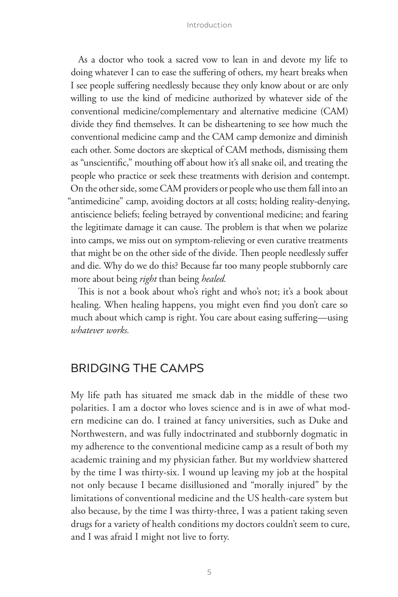As a doctor who took a sacred vow to lean in and devote my life to doing whatever I can to ease the suffering of others, my heart breaks when I see people suffering needlessly because they only know about or are only willing to use the kind of medicine authorized by whatever side of the conventional medicine/complementary and alternative medicine (CAM) divide they find themselves. It can be disheartening to see how much the conventional medicine camp and the CAM camp demonize and diminish each other. Some doctors are skeptical of CAM methods, dismissing them as "unscientific," mouthing off about how it's all snake oil, and treating the people who practice or seek these treatments with derision and contempt. On the other side, some CAM providers or people who use them fall into an "antimedicine" camp, avoiding doctors at all costs; holding reality-denying, antiscience beliefs; feeling betrayed by conventional medicine; and fearing the legitimate damage it can cause. The problem is that when we polarize into camps, we miss out on symptom-relieving or even curative treatments that might be on the other side of the divide. Then people needlessly suffer and die. Why do we do this? Because far too many people stubbornly care more about being *right* than being *healed.*

This is not a book about who's right and who's not; it's a book about healing. When healing happens, you might even find you don't care so much about which camp is right. You care about easing suffering—using *whatever works.*

#### BRIDGING THE CAMPS

My life path has situated me smack dab in the middle of these two polarities. I am a doctor who loves science and is in awe of what modern medicine can do. I trained at fancy universities, such as Duke and Northwestern, and was fully indoctrinated and stubbornly dogmatic in my adherence to the conventional medicine camp as a result of both my academic training and my physician father. But my worldview shattered by the time I was thirty-six. I wound up leaving my job at the hospital not only because I became disillusioned and "morally injured" by the limitations of conventional medicine and the US health-care system but also because, by the time I was thirty-three, I was a patient taking seven drugs for a variety of health conditions my doctors couldn't seem to cure, and I was afraid I might not live to forty.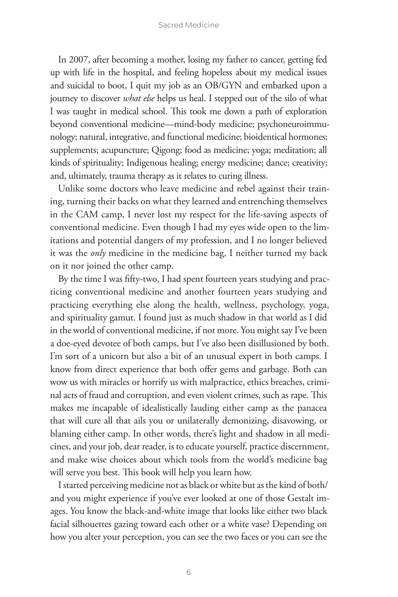In 2007, after becoming a mother, losing my father to cancer, getting fed up with life in the hospital, and feeling hopeless about my medical issues and suicidal to boot, I quit my job as an OB/GYN and embarked upon a journey to discover *what else* helps us heal. I stepped out of the silo of what I was taught in medical school. This took me down a path of exploration beyond conventional medicine—mind-body medicine; psychoneuroimmunology; natural, integrative, and functional medicine; bioidentical hormones; supplements; acupuncture; Qigong; food as medicine; yoga; meditation; all kinds of spirituality; Indigenous healing; energy medicine; dance; creativity; and, ultimately, trauma therapy as it relates to curing illness.

Unlike some doctors who leave medicine and rebel against their training, turning their backs on what they learned and entrenching themselves in the CAM camp, I never lost my respect for the life-saving aspects of conventional medicine. Even though I had my eyes wide open to the limitations and potential dangers of my profession, and I no longer believed it was the *only* medicine in the medicine bag, I neither turned my back on it nor joined the other camp.

By the time I was fifty-two, I had spent fourteen years studying and practicing conventional medicine and another fourteen years studying and practicing everything else along the health, wellness, psychology, yoga, and spirituality gamut. I found just as much shadow in that world as I did in the world of conventional medicine, if not more. You might say I've been a doe-eyed devotee of both camps, but I've also been disillusioned by both. I'm sort of a unicorn but also a bit of an unusual expert in both camps. I know from direct experience that both offer gems and garbage. Both can wow us with miracles or horrify us with malpractice, ethics breaches, criminal acts of fraud and corruption, and even violent crimes, such as rape. This makes me incapable of idealistically lauding either camp as the panacea that will cure all that ails you or unilaterally demonizing, disavowing, or blaming either camp. In other words, there's light and shadow in all medicines, and your job, dear reader, is to educate yourself, practice discernment, and make wise choices about which tools from the world's medicine bag will serve you best. This book will help you learn how.

I started perceiving medicine not as black or white but as the kind of both/ and you might experience if you've ever looked at one of those Gestalt images. You know the black-and-white image that looks like either two black facial silhouettes gazing toward each other or a white vase? Depending on how you alter your perception, you can see the two faces or you can see the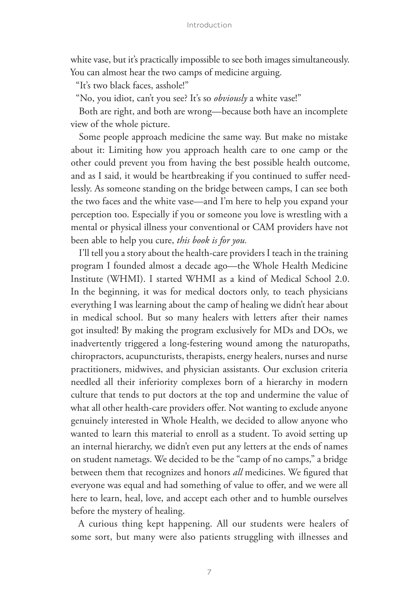white vase, but it's practically impossible to see both images simultaneously. You can almost hear the two camps of medicine arguing.

"It's two black faces, asshole!"

"No, you idiot, can't you see? It's so *obviously* a white vase!"

Both are right, and both are wrong—because both have an incomplete view of the whole picture.

Some people approach medicine the same way. But make no mistake about it: Limiting how you approach health care to one camp or the other could prevent you from having the best possible health outcome, and as I said, it would be heartbreaking if you continued to suffer needlessly. As someone standing on the bridge between camps, I can see both the two faces and the white vase—and I'm here to help you expand your perception too. Especially if you or someone you love is wrestling with a mental or physical illness your conventional or CAM providers have not been able to help you cure, *this book is for you.*

I'll tell you a story about the health-care providers I teach in the training program I founded almost a decade ago—the Whole Health Medicine Institute (WHMI). I started WHMI as a kind of Medical School 2.0. In the beginning, it was for medical doctors only, to teach physicians everything I was learning about the camp of healing we didn't hear about in medical school. But so many healers with letters after their names got insulted! By making the program exclusively for MDs and DOs, we inadvertently triggered a long-festering wound among the naturopaths, chiropractors, acupuncturists, therapists, energy healers, nurses and nurse practitioners, midwives, and physician assistants. Our exclusion criteria needled all their inferiority complexes born of a hierarchy in modern culture that tends to put doctors at the top and undermine the value of what all other health-care providers offer. Not wanting to exclude anyone genuinely interested in Whole Health, we decided to allow anyone who wanted to learn this material to enroll as a student. To avoid setting up an internal hierarchy, we didn't even put any letters at the ends of names on student nametags. We decided to be the "camp of no camps," a bridge between them that recognizes and honors *all* medicines. We figured that everyone was equal and had something of value to offer, and we were all here to learn, heal, love, and accept each other and to humble ourselves before the mystery of healing.

A curious thing kept happening. All our students were healers of some sort, but many were also patients struggling with illnesses and

7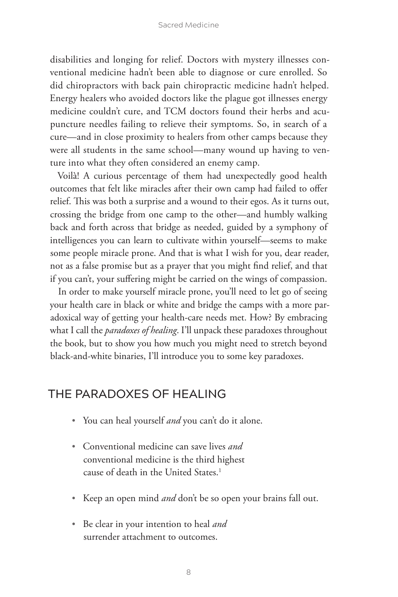disabilities and longing for relief. Doctors with mystery illnesses conventional medicine hadn't been able to diagnose or cure enrolled. So did chiropractors with back pain chiropractic medicine hadn't helped. Energy healers who avoided doctors like the plague got illnesses energy medicine couldn't cure, and TCM doctors found their herbs and acupuncture needles failing to relieve their symptoms. So, in search of a cure—and in close proximity to healers from other camps because they were all students in the same school—many wound up having to venture into what they often considered an enemy camp.

Voilà! A curious percentage of them had unexpectedly good health outcomes that felt like miracles after their own camp had failed to offer relief. This was both a surprise and a wound to their egos. As it turns out, crossing the bridge from one camp to the other—and humbly walking back and forth across that bridge as needed, guided by a symphony of intelligences you can learn to cultivate within yourself—seems to make some people miracle prone. And that is what I wish for you, dear reader, not as a false promise but as a prayer that you might find relief, and that if you can't, your suffering might be carried on the wings of compassion.

In order to make yourself miracle prone, you'll need to let go of seeing your health care in black or white and bridge the camps with a more paradoxical way of getting your health-care needs met. How? By embracing what I call the *paradoxes of healing*. I'll unpack these paradoxes throughout the book, but to show you how much you might need to stretch beyond black-and-white binaries, I'll introduce you to some key paradoxes.

### THE PARADOXES OF HEALING

- You can heal yourself *and* you can't do it alone.
- Conventional medicine can save lives *and* conventional medicine is the third highest cause of death in the United States.1
- Keep an open mind *and* don't be so open your brains fall out.
- Be clear in your intention to heal *and* surrender attachment to outcomes.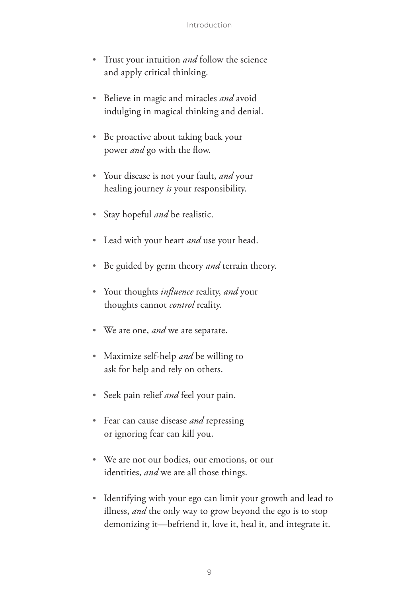- Trust your intuition *and* follow the science and apply critical thinking.
- Believe in magic and miracles *and* avoid indulging in magical thinking and denial.
- Be proactive about taking back your power *and* go with the flow.
- Your disease is not your fault, *and* your healing journey *is* your responsibility.
- Stay hopeful *and* be realistic.
- Lead with your heart *and* use your head.
- Be guided by germ theory *and* terrain theory.
- Your thoughts *influence* reality, *and* your thoughts cannot *control* reality.
- We are one, *and* we are separate.
- Maximize self-help *and* be willing to ask for help and rely on others.
- Seek pain relief *and* feel your pain.
- Fear can cause disease *and* repressing or ignoring fear can kill you.
- We are not our bodies, our emotions, or our identities, *and* we are all those things.
- Identifying with your ego can limit your growth and lead to illness, *and* the only way to grow beyond the ego is to stop demonizing it—befriend it, love it, heal it, and integrate it.